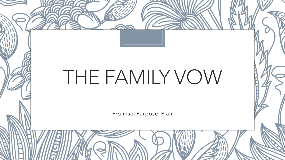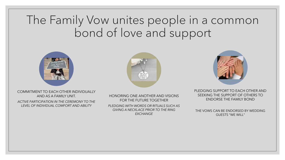## The Family Vow unites people in a common bond of love and support







COMMITMENT TO EACH OTHER INDIVIDUALLY AND AS A FAMILY UNIT.

*ACTIVE PARTICIPATION IN THE CEREMONY TO THE LEVEL OF INDIVIDUAL COMFORT AND ABILITY*

HONORING ONE ANOTHER AND VISIONS FOR THE FUTURE TOGETHER *PLEDGING WITH WORDS OR RITUALS SUCH AS GIVING A NECKLACE PRIOR TO THE RING* 

*EXCHANGE* 

PLEDGING SUPPORT TO EACH OTHER AND SEEKING THE SUPPORT OF OTHERS TO ENDORSE THE FAMILY BOND

THE VOWS CAN BE ENDORSED BY WEDDING GUESTS "WE WILL"